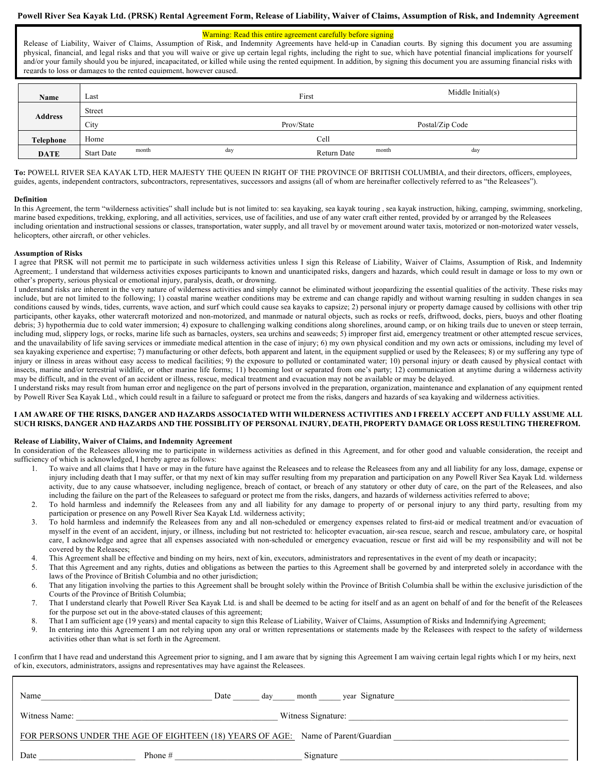## **Powell River Sea Kayak Ltd. (PRSK) Rental Agreement Form, Release of Liability, Waiver of Claims, Assumption of Risk, and Indemnity Agreement**

## Warning: Read this entire agreement carefully before signing

Release of Liability, Waiver of Claims, Assumption of Risk, and Indemnity Agreements have held-up in Canadian courts. By signing this document you are assuming physical, financial, and legal risks and that you will waive or give up certain legal rights, including the right to sue, which have potential financial implications for yourself and/or your family should you be injured, incapacitated, or killed while using the rented equipment. In addition, by signing this document you are assuming financial risks with regards to loss or damages to the rented equipment, however caused.

| Name             | Last                       |     | First       |       | Middle Initial $(s)$ |  |
|------------------|----------------------------|-----|-------------|-------|----------------------|--|
| <b>Address</b>   | Street                     |     |             |       |                      |  |
|                  | City                       |     | Prov/State  |       | Postal/Zip Code      |  |
| <b>Telephone</b> | Home                       |     | Cell        |       |                      |  |
| <b>DATE</b>      | month<br><b>Start Date</b> | day | Return Date | month | day                  |  |

**To:** POWELL RIVER SEA KAYAK LTD, HER MAJESTY THE QUEEN IN RIGHT OF THE PROVINCE OF BRITISH COLUMBIA, and their directors, officers, employees, guides, agents, independent contractors, subcontractors, representatives, successors and assigns (all of whom are hereinafter collectively referred to as "the Releasees").

#### **Definition**

In this Agreement, the term "wilderness activities" shall include but is not limited to: sea kayaking, sea kayak touring , sea kayak instruction, hiking, camping, swimming, snorkeling, marine based expeditions, trekking, exploring, and all activities, services, use of facilities, and use of any water craft either rented, provided by or arranged by the Releasees including orientation and instructional sessions or classes, transportation, water supply, and all travel by or movement around water taxis, motorized or non-motorized water vessels, helicopters, other aircraft, or other vehicles.

#### **Assumption of Risks**

I agree that PRSK will not permit me to participate in such wilderness activities unless I sign this Release of Liability, Waiver of Claims, Assumption of Risk, and Indemnity Agreement;. I understand that wilderness activities exposes participants to known and unanticipated risks, dangers and hazards, which could result in damage or loss to my own or other's property, serious physical or emotional injury, paralysis, death, or drowning.

I understand risks are inherent in the very nature of wilderness activities and simply cannot be eliminated without jeopardizing the essential qualities of the activity. These risks may include, but are not limited to the following; 1) coastal marine weather conditions may be extreme and can change rapidly and without warning resulting in sudden changes in sea conditions caused by winds, tides, currents, wave action, and surf which could cause sea kayaks to capsize; 2) personal injury or property damage caused by collisions with other trip participants, other kayaks, other watercraft motorized and non-motorized, and manmade or natural objects, such as rocks or reefs, driftwood, docks, piers, buoys and other floating debris; 3) hypothermia due to cold water immersion; 4) exposure to challenging walking conditions along shorelines, around camp, or on hiking trails due to uneven or steep terrain, including mud, slippery logs, or rocks, marine life such as barnacles, oysters, sea urchins and seaweeds; 5) improper first aid, emergency treatment or other attempted rescue services, and the unavailability of life saving services or immediate medical attention in the case of injury; 6) my own physical condition and my own acts or omissions, including my level of sea kayaking experience and expertise; 7) manufacturing or other defects, both apparent and latent, in the equipment supplied or used by the Releasees; 8) or my suffering any type of injury or illness in areas without easy access to medical facilities; 9) the exposure to polluted or contaminated water; 10) personal injury or death caused by physical contact with insects, marine and/or terrestrial wildlife, or other marine life forms; 11) becoming lost or separated from one's party; 12) communication at anytime during a wilderness activity may be difficult, and in the event of an accident or illness, rescue, medical treatment and evacuation may not be available or may be delayed.

I understand risks may result from human error and negligence on the part of persons involved in the preparation, organization, maintenance and explanation of any equipment rented by Powell River Sea Kayak Ltd., which could result in a failure to safeguard or protect me from the risks, dangers and hazards of sea kayaking and wilderness activities.

### I AM AWARE OF THE RISKS, DANGER AND HAZARDS ASSOCIATED WITH WILDERNESS ACTIVITIES AND I FREELY ACCEPT AND FULLY ASSUME ALL SUCH RISKS, DANGER AND HAZARDS AND THE POSSIBLITY OF PERSONAL INJURY, DEATH, PROPERTY DAMAGE OR LOSS RESULTING THEREFROM.

## **Release of Liability, Waiver of Claims, and Indemnity Agreement**

In consideration of the Releasees allowing me to participate in wilderness activities as defined in this Agreement, and for other good and valuable consideration, the receipt and sufficiency of which is acknowledged, I hereby agree as follows:

- 1. To waive and all claims that I have or may in the future have against the Releasees and to release the Releasees from any and all liability for any loss, damage, expense or injury including death that I may suffer, or that my next of kin may suffer resulting from my preparation and participation on any Powell River Sea Kayak Ltd. wilderness activity, due to any cause whatsoever, including negligence, breach of contact, or breach of any statutory or other duty of care, on the part of the Releasees, and also including the failure on the part of the Releasees to safeguard or protect me from the risks, dangers, and hazards of wilderness activities referred to above;
- 2. To hold harmless and indemnify the Releasees from any and all liability for any damage to property of or personal injury to any third party, resulting from my participation or presence on any Powell River Sea Kayak Ltd. wilderness activity;
- 3. To hold harmless and indemnify the Releasees from any and all non-scheduled or emergency expenses related to first-aid or medical treatment and/or evacuation of myself in the event of an accident, injury, or illness, including but not restricted to: helicopter evacuation, air-sea rescue, search and rescue, ambulatory care, or hospital care, I acknowledge and agree that all expenses associated with non-scheduled or emergency evacuation, rescue or first aid will be my responsibility and will not be covered by the Releasees;
- This Agreement shall be effective and binding on my heirs, next of kin, executors, administrators and representatives in the event of my death or incapacity;
- 5. That this Agreement and any rights, duties and obligations as between the parties to this Agreement shall be governed by and interpreted solely in accordance with the laws of the Province of British Columbia and no other jurisdiction;
- 6. That any litigation involving the parties to this Agreement shall be brought solely within the Province of British Columbia shall be within the exclusive jurisdiction of the Courts of the Province of British Columbia;
- 7. That I understand clearly that Powell River Sea Kayak Ltd. is and shall be deemed to be acting for itself and as an agent on behalf of and for the benefit of the Releasees for the purpose set out in the above-stated clauses of this agreement;
- 8. That I am sufficient age (19 years) and mental capacity to sign this Release of Liability, Waiver of Claims, Assumption of Risks and Indemnifying Agreement;
- 9. In entering into this Agreement I am not relying upon any oral or written representations or statements made by the Releasees with respect to the safety of wilderness activities other than what is set forth in the Agreement.

I confirm that I have read and understand this Agreement prior to signing, and I am aware that by signing this Agreement I am waiving certain legal rights which I or my heirs, next of kin, executors, administrators, assigns and representatives may have against the Releasees.

| Name                                                                             | Date<br>day | year Signature<br>month |  |  |  |  |  |
|----------------------------------------------------------------------------------|-------------|-------------------------|--|--|--|--|--|
| Witness Signature:<br>Witness Name:                                              |             |                         |  |  |  |  |  |
| FOR PERSONS UNDER THE AGE OF EIGHTEEN (18) YEARS OF AGE: Name of Parent/Guardian |             |                         |  |  |  |  |  |
| Date                                                                             | Phone $#$   | Signature               |  |  |  |  |  |